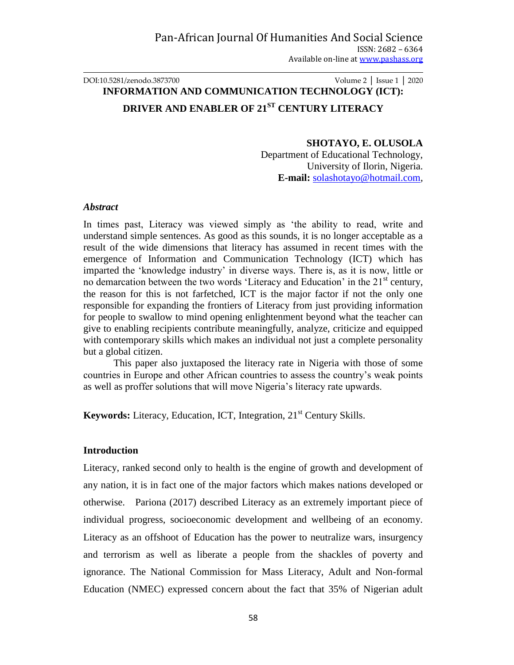## DOI:10.5281/zenodo.3873700 Volume 2 │ Issue 1 │ 2020 **INFORMATION AND COMMUNICATION TECHNOLOGY (ICT): DRIVER AND ENABLER OF 21ST CENTURY LITERACY**

### **SHOTAYO, E. OLUSOLA**

Department of Educational Technology, University of Ilorin, Nigeria. **E-mail:** [solashotayo@hotmail.com,](mailto:solashotayo@hotmail.com)

#### *Abstract*

In times past, Literacy was viewed simply as 'the ability to read, write and understand simple sentences. As good as this sounds, it is no longer acceptable as a result of the wide dimensions that literacy has assumed in recent times with the emergence of Information and Communication Technology (ICT) which has imparted the 'knowledge industry' in diverse ways. There is, as it is now, little or no demarcation between the two words 'Literacy and Education' in the  $21<sup>st</sup>$  century, the reason for this is not farfetched, ICT is the major factor if not the only one responsible for expanding the frontiers of Literacy from just providing information for people to swallow to mind opening enlightenment beyond what the teacher can give to enabling recipients contribute meaningfully, analyze, criticize and equipped with contemporary skills which makes an individual not just a complete personality but a global citizen.

This paper also juxtaposed the literacy rate in Nigeria with those of some countries in Europe and other African countries to assess the country's weak points as well as proffer solutions that will move Nigeria's literacy rate upwards.

**Keywords:** Literacy, Education, ICT, Integration, 21<sup>st</sup> Century Skills.

#### **Introduction**

Literacy, ranked second only to health is the engine of growth and development of any nation, it is in fact one of the major factors which makes nations developed or otherwise. Pariona (2017) described Literacy as an extremely important piece of individual progress, socioeconomic development and wellbeing of an economy. Literacy as an offshoot of Education has the power to neutralize wars, insurgency and terrorism as well as liberate a people from the shackles of poverty and ignorance. The National Commission for Mass Literacy, Adult and Non-formal Education (NMEC) expressed concern about the fact that 35% of Nigerian adult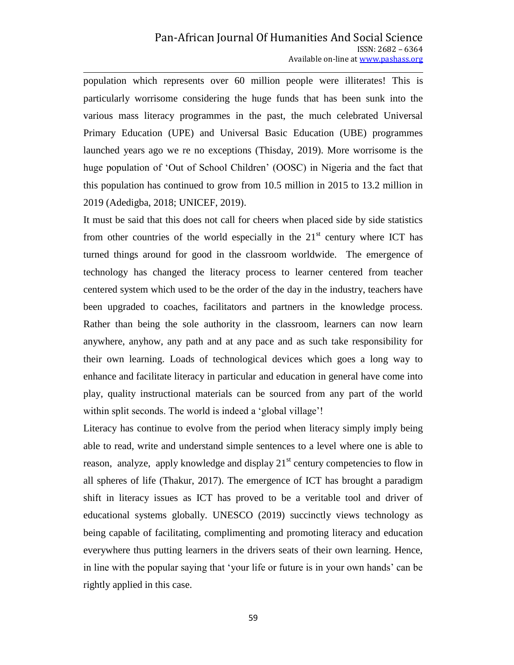population which represents over 60 million people were illiterates! This is particularly worrisome considering the huge funds that has been sunk into the various mass literacy programmes in the past, the much celebrated Universal Primary Education (UPE) and Universal Basic Education (UBE) programmes launched years ago we re no exceptions (Thisday, 2019). More worrisome is the huge population of 'Out of School Children' (OOSC) in Nigeria and the fact that this population has continued to grow from 10.5 million in 2015 to 13.2 million in 2019 (Adedigba, 2018; UNICEF, 2019).

It must be said that this does not call for cheers when placed side by side statistics from other countries of the world especially in the  $21<sup>st</sup>$  century where ICT has turned things around for good in the classroom worldwide. The emergence of technology has changed the literacy process to learner centered from teacher centered system which used to be the order of the day in the industry, teachers have been upgraded to coaches, facilitators and partners in the knowledge process. Rather than being the sole authority in the classroom, learners can now learn anywhere, anyhow, any path and at any pace and as such take responsibility for their own learning. Loads of technological devices which goes a long way to enhance and facilitate literacy in particular and education in general have come into play, quality instructional materials can be sourced from any part of the world within split seconds. The world is indeed a 'global village'!

Literacy has continue to evolve from the period when literacy simply imply being able to read, write and understand simple sentences to a level where one is able to reason, analyze, apply knowledge and display  $21<sup>st</sup>$  century competencies to flow in all spheres of life (Thakur, 2017). The emergence of ICT has brought a paradigm shift in literacy issues as ICT has proved to be a veritable tool and driver of educational systems globally. UNESCO (2019) succinctly views technology as being capable of facilitating, complimenting and promoting literacy and education everywhere thus putting learners in the drivers seats of their own learning. Hence, in line with the popular saying that 'your life or future is in your own hands' can be rightly applied in this case.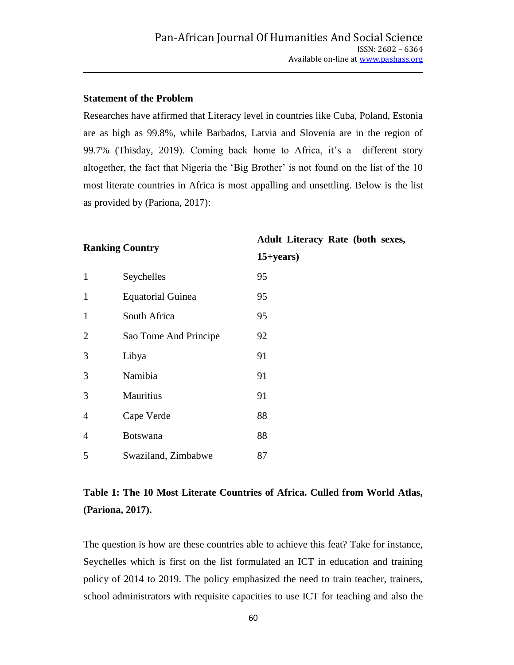### **Statement of the Problem**

Researches have affirmed that Literacy level in countries like Cuba, Poland, Estonia are as high as 99.8%, while Barbados, Latvia and Slovenia are in the region of 99.7% (Thisday, 2019). Coming back home to Africa, it's a different story altogether, the fact that Nigeria the 'Big Brother' is not found on the list of the 10 most literate countries in Africa is most appalling and unsettling. Below is the list as provided by (Pariona, 2017):

**Ranking Country**

# **Adult Literacy Rate (both sexes,**

| $\mathbf{1}$   | Seychelles               | 95 |
|----------------|--------------------------|----|
| 1              | <b>Equatorial Guinea</b> |    |
| 1              | South Africa             |    |
| $\overline{2}$ | Sao Tome And Principe    |    |
| 3              | Libya                    |    |
| 3              | Namibia                  |    |
| 3              | Mauritius                |    |
| 4              | Cape Verde               |    |
| $\overline{4}$ | <b>Botswana</b>          |    |
| 5              | Swaziland, Zimbabwe      | 87 |
|                |                          |    |

# **15+years)**

# **Table 1: The 10 Most Literate Countries of Africa. Culled from World Atlas, (Pariona, 2017).**

The question is how are these countries able to achieve this feat? Take for instance, Seychelles which is first on the list formulated an ICT in education and training policy of 2014 to 2019. The policy emphasized the need to train teacher, trainers, school administrators with requisite capacities to use ICT for teaching and also the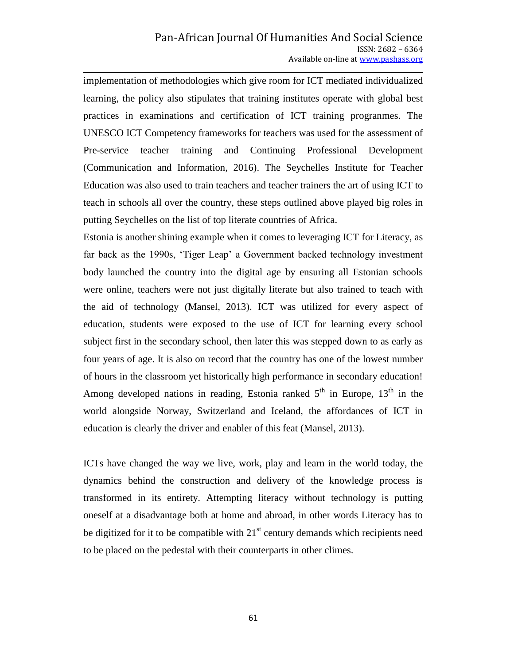implementation of methodologies which give room for ICT mediated individualized learning, the policy also stipulates that training institutes operate with global best practices in examinations and certification of ICT training progranmes. The UNESCO ICT Competency frameworks for teachers was used for the assessment of Pre-service teacher training and Continuing Professional Development (Communication and Information, 2016). The Seychelles Institute for Teacher Education was also used to train teachers and teacher trainers the art of using ICT to teach in schools all over the country, these steps outlined above played big roles in putting Seychelles on the list of top literate countries of Africa.

Estonia is another shining example when it comes to leveraging ICT for Literacy, as far back as the 1990s, 'Tiger Leap' a Government backed technology investment body launched the country into the digital age by ensuring all Estonian schools were online, teachers were not just digitally literate but also trained to teach with the aid of technology (Mansel, 2013). ICT was utilized for every aspect of education, students were exposed to the use of ICT for learning every school subject first in the secondary school, then later this was stepped down to as early as four years of age. It is also on record that the country has one of the lowest number of hours in the classroom yet historically high performance in secondary education! Among developed nations in reading, Estonia ranked  $5<sup>th</sup>$  in Europe,  $13<sup>th</sup>$  in the world alongside Norway, Switzerland and Iceland, the affordances of ICT in education is clearly the driver and enabler of this feat (Mansel, 2013).

ICTs have changed the way we live, work, play and learn in the world today, the dynamics behind the construction and delivery of the knowledge process is transformed in its entirety. Attempting literacy without technology is putting oneself at a disadvantage both at home and abroad, in other words Literacy has to be digitized for it to be compatible with  $21<sup>st</sup>$  century demands which recipients need to be placed on the pedestal with their counterparts in other climes.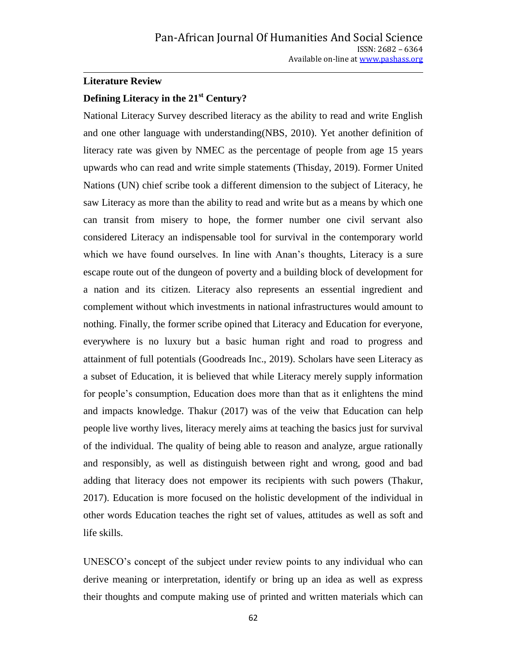#### **Literature Review**

# **Defining Literacy in the 21st Century?**

National Literacy Survey described literacy as the ability to read and write English and one other language with understanding(NBS, 2010). Yet another definition of literacy rate was given by NMEC as the percentage of people from age 15 years upwards who can read and write simple statements (Thisday, 2019). Former United Nations (UN) chief scribe took a different dimension to the subject of Literacy, he saw Literacy as more than the ability to read and write but as a means by which one can transit from misery to hope, the former number one civil servant also considered Literacy an indispensable tool for survival in the contemporary world which we have found ourselves. In line with Anan's thoughts, Literacy is a sure escape route out of the dungeon of poverty and a building block of development for a nation and its citizen. Literacy also represents an essential ingredient and complement without which investments in national infrastructures would amount to nothing. Finally, the former scribe opined that Literacy and Education for everyone, everywhere is no luxury but a basic human right and road to progress and attainment of full potentials (Goodreads Inc., 2019). Scholars have seen Literacy as a subset of Education, it is believed that while Literacy merely supply information for people's consumption, Education does more than that as it enlightens the mind and impacts knowledge. Thakur (2017) was of the veiw that Education can help people live worthy lives, literacy merely aims at teaching the basics just for survival of the individual. The quality of being able to reason and analyze, argue rationally and responsibly, as well as distinguish between right and wrong, good and bad adding that literacy does not empower its recipients with such powers (Thakur, 2017). Education is more focused on the holistic development of the individual in other words Education teaches the right set of values, attitudes as well as soft and life skills.

UNESCO's concept of the subject under review points to any individual who can derive meaning or interpretation, identify or bring up an idea as well as express their thoughts and compute making use of printed and written materials which can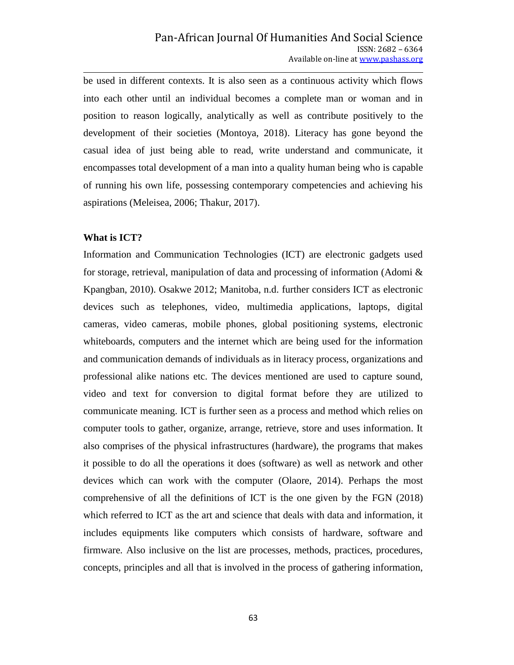be used in different contexts. It is also seen as a continuous activity which flows into each other until an individual becomes a complete man or woman and in position to reason logically, analytically as well as contribute positively to the development of their societies (Montoya, 2018). Literacy has gone beyond the casual idea of just being able to read, write understand and communicate, it encompasses total development of a man into a quality human being who is capable of running his own life, possessing contemporary competencies and achieving his aspirations (Meleisea, 2006; Thakur, 2017).

#### **What is ICT?**

Information and Communication Technologies (ICT) are electronic gadgets used for storage, retrieval, manipulation of data and processing of information (Adomi & Kpangban, 2010). Osakwe 2012; Manitoba, n.d. further considers ICT as electronic devices such as telephones, video, multimedia applications, laptops, digital cameras, video cameras, mobile phones, global positioning systems, electronic whiteboards, computers and the internet which are being used for the information and communication demands of individuals as in literacy process, organizations and professional alike nations etc. The devices mentioned are used to capture sound, video and text for conversion to digital format before they are utilized to communicate meaning. ICT is further seen as a process and method which relies on computer tools to gather, organize, arrange, retrieve, store and uses information. It also comprises of the physical infrastructures (hardware), the programs that makes it possible to do all the operations it does (software) as well as network and other devices which can work with the computer (Olaore, 2014). Perhaps the most comprehensive of all the definitions of ICT is the one given by the FGN (2018) which referred to ICT as the art and science that deals with data and information, it includes equipments like computers which consists of hardware, software and firmware. Also inclusive on the list are processes, methods, practices, procedures, concepts, principles and all that is involved in the process of gathering information,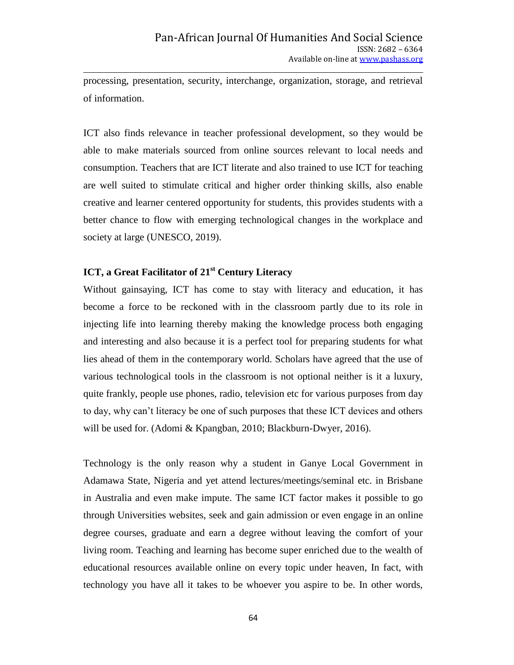processing, presentation, security, interchange, organization, storage, and retrieval of information.

ICT also finds relevance in teacher professional development, so they would be able to make materials sourced from online sources relevant to local needs and consumption. Teachers that are ICT literate and also trained to use ICT for teaching are well suited to stimulate critical and higher order thinking skills, also enable creative and learner centered opportunity for students, this provides students with a better chance to flow with emerging technological changes in the workplace and society at large (UNESCO, 2019).

## **ICT, a Great Facilitator of 21st Century Literacy**

Without gainsaying, ICT has come to stay with literacy and education, it has become a force to be reckoned with in the classroom partly due to its role in injecting life into learning thereby making the knowledge process both engaging and interesting and also because it is a perfect tool for preparing students for what lies ahead of them in the contemporary world. Scholars have agreed that the use of various technological tools in the classroom is not optional neither is it a luxury, quite frankly, people use phones, radio, television etc for various purposes from day to day, why can't literacy be one of such purposes that these ICT devices and others will be used for. (Adomi & Kpangban, 2010; Blackburn-Dwyer, 2016).

Technology is the only reason why a student in Ganye Local Government in Adamawa State, Nigeria and yet attend lectures/meetings/seminal etc. in Brisbane in Australia and even make impute. The same ICT factor makes it possible to go through Universities websites, seek and gain admission or even engage in an online degree courses, graduate and earn a degree without leaving the comfort of your living room. Teaching and learning has become super enriched due to the wealth of educational resources available online on every topic under heaven, In fact, with technology you have all it takes to be whoever you aspire to be. In other words,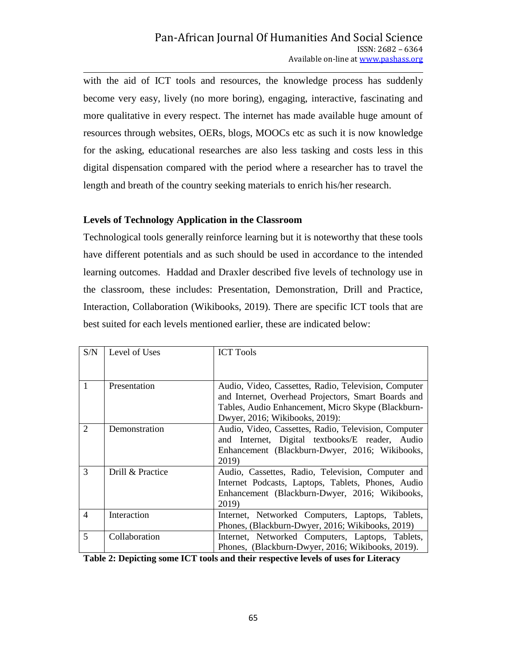with the aid of ICT tools and resources, the knowledge process has suddenly become very easy, lively (no more boring), engaging, interactive, fascinating and more qualitative in every respect. The internet has made available huge amount of resources through websites, OERs, blogs, MOOCs etc as such it is now knowledge for the asking, educational researches are also less tasking and costs less in this digital dispensation compared with the period where a researcher has to travel the length and breath of the country seeking materials to enrich his/her research.

#### **Levels of Technology Application in the Classroom**

Technological tools generally reinforce learning but it is noteworthy that these tools have different potentials and as such should be used in accordance to the intended learning outcomes. Haddad and Draxler described five levels of technology use in the classroom, these includes: Presentation, Demonstration, Drill and Practice, Interaction, Collaboration (Wikibooks, 2019). There are specific ICT tools that are best suited for each levels mentioned earlier, these are indicated below:

| S/N                      | Level of Uses    | <b>ICT Tools</b>                                                                                                                                                                                    |
|--------------------------|------------------|-----------------------------------------------------------------------------------------------------------------------------------------------------------------------------------------------------|
| 1                        | Presentation     | Audio, Video, Cassettes, Radio, Television, Computer<br>and Internet, Overhead Projectors, Smart Boards and<br>Tables, Audio Enhancement, Micro Skype (Blackburn-<br>Dwyer, 2016; Wikibooks, 2019): |
| 2                        | Demonstration    | Audio, Video, Cassettes, Radio, Television, Computer<br>and Internet, Digital textbooks/E reader, Audio<br>Enhancement (Blackburn-Dwyer, 2016; Wikibooks,<br>2019)                                  |
| $\mathcal{R}$            | Drill & Practice | Audio, Cassettes, Radio, Television, Computer and<br>Internet Podcasts, Laptops, Tablets, Phones, Audio<br>Enhancement (Blackburn-Dwyer, 2016; Wikibooks,<br>2019)                                  |
| $\overline{4}$           | Interaction      | Internet, Networked Computers, Laptops,<br>Tablets,<br>Phones, (Blackburn-Dwyer, 2016; Wikibooks, 2019)                                                                                             |
| $\overline{\mathcal{L}}$ | Collaboration    | Internet, Networked Computers, Laptops, Tablets,<br>Phones, (Blackburn-Dwyer, 2016; Wikibooks, 2019).                                                                                               |

**Table 2: Depicting some ICT tools and their respective levels of uses for Literacy**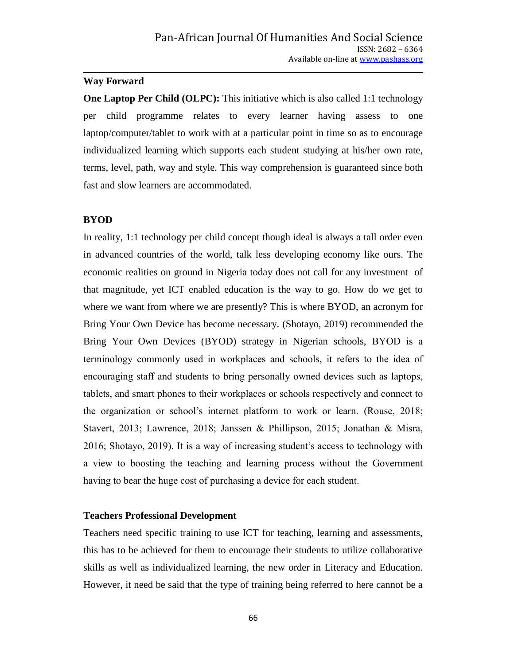#### **Way Forward**

**One Laptop Per Child (OLPC):** This initiative which is also called 1:1 technology per child programme relates to every learner having assess to one laptop/computer/tablet to work with at a particular point in time so as to encourage individualized learning which supports each student studying at his/her own rate, terms, level, path, way and style. This way comprehension is guaranteed since both fast and slow learners are accommodated.

#### **BYOD**

In reality, 1:1 technology per child concept though ideal is always a tall order even in advanced countries of the world, talk less developing economy like ours. The economic realities on ground in Nigeria today does not call for any investment of that magnitude, yet ICT enabled education is the way to go. How do we get to where we want from where we are presently? This is where BYOD, an acronym for Bring Your Own Device has become necessary. (Shotayo, 2019) recommended the Bring Your Own Devices (BYOD) strategy in Nigerian schools, BYOD is a terminology commonly used in workplaces and schools, it refers to the idea of encouraging staff and students to bring personally owned devices such as laptops, tablets, and smart phones to their workplaces or schools respectively and connect to the organization or school's internet platform to work or learn. (Rouse, 2018; Stavert, 2013; Lawrence, 2018; Janssen & Phillipson, 2015; Jonathan & Misra, 2016; Shotayo, 2019). It is a way of increasing student's access to technology with a view to boosting the teaching and learning process without the Government having to bear the huge cost of purchasing a device for each student.

#### **Teachers Professional Development**

Teachers need specific training to use ICT for teaching, learning and assessments, this has to be achieved for them to encourage their students to utilize collaborative skills as well as individualized learning, the new order in Literacy and Education. However, it need be said that the type of training being referred to here cannot be a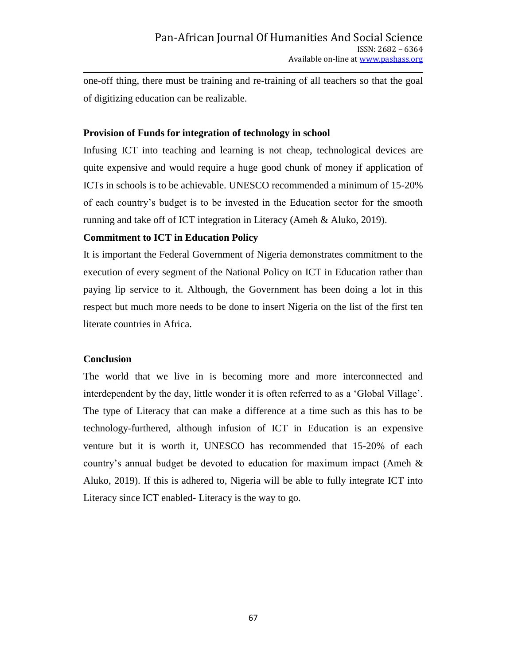one-off thing, there must be training and re-training of all teachers so that the goal of digitizing education can be realizable.

#### **Provision of Funds for integration of technology in school**

Infusing ICT into teaching and learning is not cheap, technological devices are quite expensive and would require a huge good chunk of money if application of ICTs in schools is to be achievable. UNESCO recommended a minimum of 15-20% of each country's budget is to be invested in the Education sector for the smooth running and take off of ICT integration in Literacy (Ameh & Aluko, 2019).

### **Commitment to ICT in Education Policy**

It is important the Federal Government of Nigeria demonstrates commitment to the execution of every segment of the National Policy on ICT in Education rather than paying lip service to it. Although, the Government has been doing a lot in this respect but much more needs to be done to insert Nigeria on the list of the first ten literate countries in Africa.

#### **Conclusion**

The world that we live in is becoming more and more interconnected and interdependent by the day, little wonder it is often referred to as a 'Global Village'. The type of Literacy that can make a difference at a time such as this has to be technology-furthered, although infusion of ICT in Education is an expensive venture but it is worth it, UNESCO has recommended that 15-20% of each country's annual budget be devoted to education for maximum impact (Ameh & Aluko, 2019). If this is adhered to, Nigeria will be able to fully integrate ICT into Literacy since ICT enabled- Literacy is the way to go.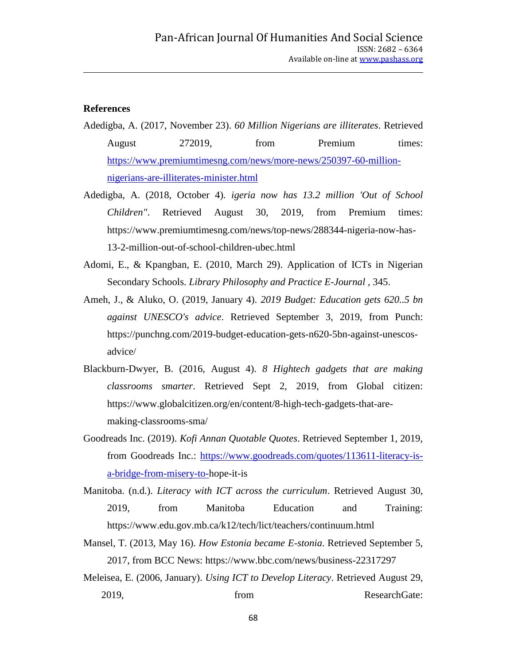#### **References**

- Adedigba, A. (2017, November 23). *60 Million Nigerians are illiterates*. Retrieved August 272019, from Premium times: [https://www.premiumtimesng.com/news/more-news/250397-60-million](https://www.premiumtimesng.com/news/more-news/250397-60-million-nigerians-are-illiterates-minister.html)[nigerians-are-illiterates-minister.html](https://www.premiumtimesng.com/news/more-news/250397-60-million-nigerians-are-illiterates-minister.html)
- Adedigba, A. (2018, October 4). *igeria now has 13.2 million 'Out of School Children"*. Retrieved August 30, 2019, from Premium times: https://www.premiumtimesng.com/news/top-news/288344-nigeria-now-has-13-2-million-out-of-school-children-ubec.html
- Adomi, E., & Kpangban, E. (2010, March 29). Application of ICTs in Nigerian Secondary Schools. *Library Philosophy and Practice E-Journal* , 345.
- Ameh, J., & Aluko, O. (2019, January 4). *2019 Budget: Education gets 620..5 bn against UNESCO's advice*. Retrieved September 3, 2019, from Punch: https://punchng.com/2019-budget-education-gets-n620-5bn-against-unescosadvice/
- Blackburn-Dwyer, B. (2016, August 4). *8 Hightech gadgets that are making classrooms smarter*. Retrieved Sept 2, 2019, from Global citizen: https://www.globalcitizen.org/en/content/8-high-tech-gadgets-that-aremaking-classrooms-sma/
- Goodreads Inc. (2019). *Kofi Annan Quotable Quotes*. Retrieved September 1, 2019, from Goodreads Inc.: [https://www.goodreads.com/quotes/113611-literacy-is](https://www.goodreads.com/quotes/113611-literacy-is-a-bridge-from-misery-to-)[a-bridge-from-misery-to-h](https://www.goodreads.com/quotes/113611-literacy-is-a-bridge-from-misery-to-)ope-it-is
- Manitoba. (n.d.). *Literacy with ICT across the curriculum*. Retrieved August 30, 2019, from Manitoba Education and Training: https://www.edu.gov.mb.ca/k12/tech/lict/teachers/continuum.html
- Mansel, T. (2013, May 16). *How Estonia became E-stonia*. Retrieved September 5, 2017, from BCC News: https://www.bbc.com/news/business-22317297
- Meleisea, E. (2006, January). *Using ICT to Develop Literacy*. Retrieved August 29, 2019, from from ResearchGate: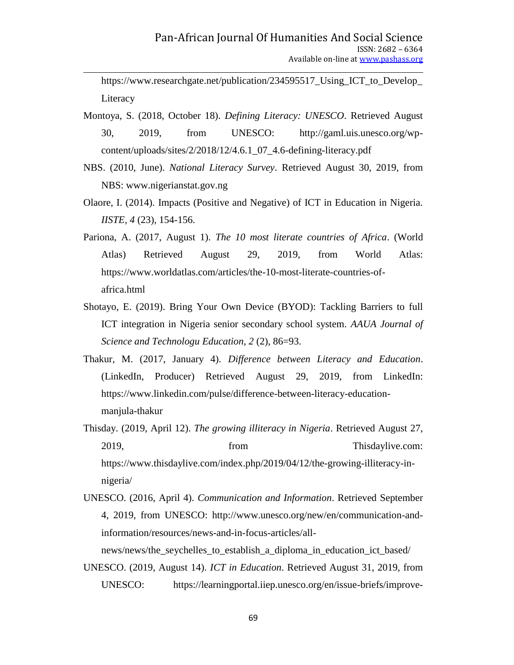https://www.researchgate.net/publication/234595517\_Using\_ICT\_to\_Develop\_ Literacy

- Montoya, S. (2018, October 18). *Defining Literacy: UNESCO*. Retrieved August 30, 2019, from UNESCO: http://gaml.uis.unesco.org/wpcontent/uploads/sites/2/2018/12/4.6.1\_07\_4.6-defining-literacy.pdf
- NBS. (2010, June). *National Literacy Survey*. Retrieved August 30, 2019, from NBS: www.nigerianstat.gov.ng
- Olaore, I. (2014). Impacts (Positive and Negative) of ICT in Education in Nigeria. *IISTE, 4* (23), 154-156.
- Pariona, A. (2017, August 1). *The 10 most literate countries of Africa*. (World Atlas) Retrieved August 29, 2019, from World Atlas: https://www.worldatlas.com/articles/the-10-most-literate-countries-ofafrica.html
- Shotayo, E. (2019). Bring Your Own Device (BYOD): Tackling Barriers to full ICT integration in Nigeria senior secondary school system. *AAUA Journal of Science and Technologu Education, 2* (2), 86=93.
- Thakur, M. (2017, January 4). *Difference between Literacy and Education*. (LinkedIn, Producer) Retrieved August 29, 2019, from LinkedIn: https://www.linkedin.com/pulse/difference-between-literacy-educationmanjula-thakur
- Thisday. (2019, April 12). *The growing illiteracy in Nigeria*. Retrieved August 27, 2019, from Thisdaylive.com: https://www.thisdaylive.com/index.php/2019/04/12/the-growing-illiteracy-innigeria/
- UNESCO. (2016, April 4). *Communication and Information*. Retrieved September 4, 2019, from UNESCO: http://www.unesco.org/new/en/communication-andinformation/resources/news-and-in-focus-articles/all-

news/news/the\_seychelles\_to\_establish\_a\_diploma\_in\_education\_ict\_based/

UNESCO. (2019, August 14). *ICT in Education*. Retrieved August 31, 2019, from UNESCO: https://learningportal.iiep.unesco.org/en/issue-briefs/improve